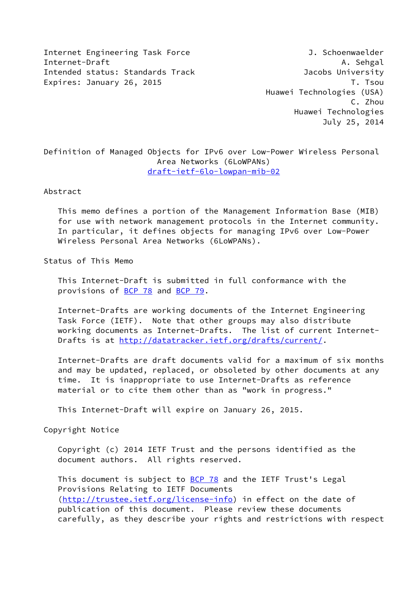Internet Engineering Task Force 3. Schoenwaelder Internet-Draft A. Sehgal A. Sehgal A. Sehgal A. Sehgal A. Sehgal A. Sehgal A. Sehgal A. Sehgal A. Sehgal A. Sehgal A. Sehgal A. Sehgal A. Sehgal A. Sehgal A. Sehgal A. Sehgal A. Sehgal A. Sehgal A. Sehgal A. Sehgal A. Sehg Intended status: Standards Track Jacobs University Expires: January 26, 2015 T. The T. The T. The T. The T. The T. The T. The T. The T. The T. The T. The T. The T

 Huawei Technologies (USA) C. Zhou Huawei Technologies July 25, 2014

Definition of Managed Objects for IPv6 over Low-Power Wireless Personal Area Networks (6LoWPANs) [draft-ietf-6lo-lowpan-mib-02](https://datatracker.ietf.org/doc/pdf/draft-ietf-6lo-lowpan-mib-02)

Abstract

 This memo defines a portion of the Management Information Base (MIB) for use with network management protocols in the Internet community. In particular, it defines objects for managing IPv6 over Low-Power Wireless Personal Area Networks (6LoWPANs).

Status of This Memo

 This Internet-Draft is submitted in full conformance with the provisions of [BCP 78](https://datatracker.ietf.org/doc/pdf/bcp78) and [BCP 79](https://datatracker.ietf.org/doc/pdf/bcp79).

 Internet-Drafts are working documents of the Internet Engineering Task Force (IETF). Note that other groups may also distribute working documents as Internet-Drafts. The list of current Internet- Drafts is at<http://datatracker.ietf.org/drafts/current/>.

 Internet-Drafts are draft documents valid for a maximum of six months and may be updated, replaced, or obsoleted by other documents at any time. It is inappropriate to use Internet-Drafts as reference material or to cite them other than as "work in progress."

This Internet-Draft will expire on January 26, 2015.

Copyright Notice

 Copyright (c) 2014 IETF Trust and the persons identified as the document authors. All rights reserved.

This document is subject to **[BCP 78](https://datatracker.ietf.org/doc/pdf/bcp78)** and the IETF Trust's Legal Provisions Relating to IETF Documents [\(http://trustee.ietf.org/license-info](http://trustee.ietf.org/license-info)) in effect on the date of publication of this document. Please review these documents carefully, as they describe your rights and restrictions with respect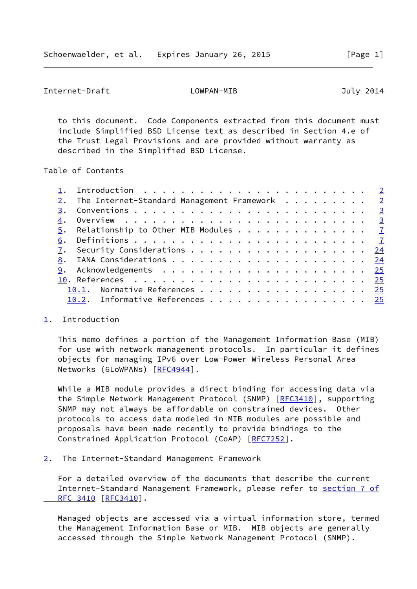<span id="page-1-1"></span> to this document. Code Components extracted from this document must include Simplified BSD License text as described in Section 4.e of the Trust Legal Provisions and are provided without warranty as described in the Simplified BSD License.

Table of Contents

|    | $2.$ The Internet-Standard Management Framework 2 |  |
|----|---------------------------------------------------|--|
| 3. |                                                   |  |
| 4. |                                                   |  |
|    | 5. Relationship to Other MIB Modules $\cdots$ 7   |  |
| 6. |                                                   |  |
|    | 7. Security Considerations 24                     |  |
|    |                                                   |  |
|    |                                                   |  |
|    |                                                   |  |
|    | 10.1. Normative References 25                     |  |
|    | 10.2. Informative References 25                   |  |
|    |                                                   |  |

### <span id="page-1-0"></span>[1](#page-1-0). Introduction

 This memo defines a portion of the Management Information Base (MIB) for use with network management protocols. In particular it defines objects for managing IPv6 over Low-Power Wireless Personal Area Networks (6LoWPANs) [\[RFC4944](https://datatracker.ietf.org/doc/pdf/rfc4944)].

 While a MIB module provides a direct binding for accessing data via the Simple Network Management Protocol (SNMP) [[RFC3410](https://datatracker.ietf.org/doc/pdf/rfc3410)], supporting SNMP may not always be affordable on constrained devices. Other protocols to access data modeled in MIB modules are possible and proposals have been made recently to provide bindings to the Constrained Application Protocol (CoAP) [\[RFC7252](https://datatracker.ietf.org/doc/pdf/rfc7252)].

<span id="page-1-2"></span>[2](#page-1-2). The Internet-Standard Management Framework

 For a detailed overview of the documents that describe the current Internet-Standard Management Framework, please refer to [section](https://datatracker.ietf.org/doc/pdf/rfc3410#section-7) 7 of RFC 3410 [\[RFC3410](https://datatracker.ietf.org/doc/pdf/rfc3410)].

 Managed objects are accessed via a virtual information store, termed the Management Information Base or MIB. MIB objects are generally accessed through the Simple Network Management Protocol (SNMP).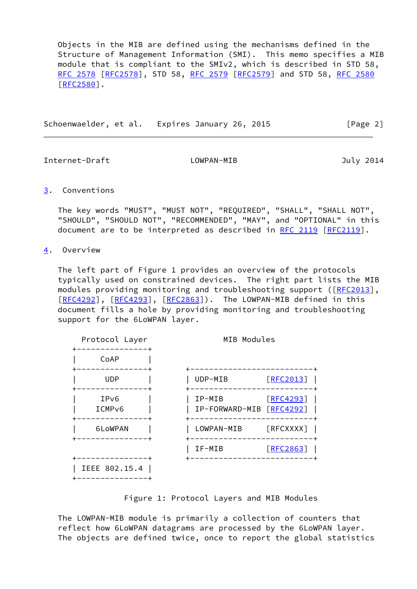Objects in the MIB are defined using the mechanisms defined in the Structure of Management Information (SMI). This memo specifies a MIB module that is compliant to the SMIv2, which is described in STD 58, [RFC 2578](https://datatracker.ietf.org/doc/pdf/rfc2578) [\[RFC2578](https://datatracker.ietf.org/doc/pdf/rfc2578)], STD 58, [RFC 2579 \[RFC2579](https://datatracker.ietf.org/doc/pdf/rfc2579)] and STD 58, [RFC 2580](https://datatracker.ietf.org/doc/pdf/rfc2580) [\[RFC2580](https://datatracker.ietf.org/doc/pdf/rfc2580)].

Schoenwaelder, et al. Expires January 26, 2015 [Page 2]

<span id="page-2-1"></span>Internet-Draft LOWPAN-MIB July 2014

### <span id="page-2-0"></span>[3](#page-2-0). Conventions

 The key words "MUST", "MUST NOT", "REQUIRED", "SHALL", "SHALL NOT", "SHOULD", "SHOULD NOT", "RECOMMENDED", "MAY", and "OPTIONAL" in this document are to be interpreted as described in [RFC 2119 \[RFC2119](https://datatracker.ietf.org/doc/pdf/rfc2119)].

<span id="page-2-2"></span>[4](#page-2-2). Overview

 The left part of Figure 1 provides an overview of the protocols typically used on constrained devices. The right part lists the MIB modules providing monitoring and troubleshooting support ([[RFC2013](https://datatracker.ietf.org/doc/pdf/rfc2013)], [\[RFC4292](https://datatracker.ietf.org/doc/pdf/rfc4292)], [[RFC4293\]](https://datatracker.ietf.org/doc/pdf/rfc4293), [[RFC2863](https://datatracker.ietf.org/doc/pdf/rfc2863)]). The LOWPAN-MIB defined in this document fills a hole by providing monitoring and troubleshooting support for the 6LoWPAN layer.

| Protocol Layer<br>------+              | MIB Modules                                     |
|----------------------------------------|-------------------------------------------------|
| CoAP                                   |                                                 |
| . - - - - - - - - .<br><b>UDP</b>      | UDP-MIB<br>[REC2013]                            |
| IP <sub>v6</sub><br>ICMP <sub>v6</sub> | IP-MIB<br>[RFC4293]<br>IP-FORWARD-MIB [RFC4292] |
| 6LoWPAN<br>------------                | [REXXXX]<br>LOWPAN-MIB                          |
|                                        | IF-MIB<br>[REC2863]<br>__________________       |
| IEEE 802.15.4                          |                                                 |

Figure 1: Protocol Layers and MIB Modules

 The LOWPAN-MIB module is primarily a collection of counters that reflect how 6LoWPAN datagrams are processed by the 6LoWPAN layer. The objects are defined twice, once to report the global statistics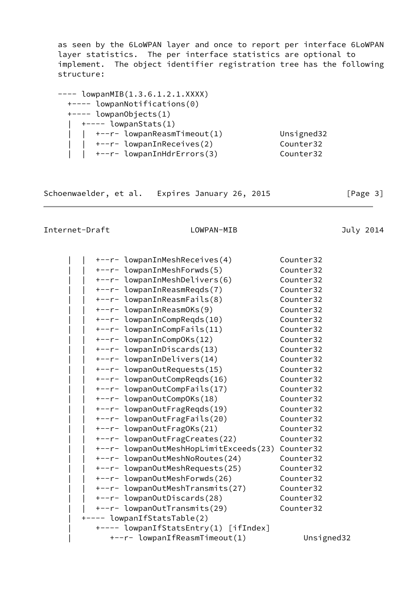as seen by the 6LoWPAN layer and once to report per interface 6LoWPAN layer statistics. The per interface statistics are optional to implement. The object identifier registration tree has the following structure:

| $---$ lowpanMIB(1.3.6.1.2.1.XXXX) |            |
|-----------------------------------|------------|
| +---- lowpanNotifications(0)      |            |
| $+---$ lowpanObjects(1)           |            |
| $\vert$ +---- lowpanStats(1)      |            |
| +--r- lowpanReasmTimeout(1)       | Unsigned32 |
| +--r- lowpanInReceives(2)         | Counter32  |
| +--r- lowpanInHdrErrors(3)        | Counter32  |

Schoenwaelder, et al. Expires January 26, 2015 [Page 3]

|  | +--r- lowpanInMeshReceives(4)          | Counter32  |  |
|--|----------------------------------------|------------|--|
|  | +--r- lowpanInMeshForwds(5)            | Counter32  |  |
|  | +--r- lowpanInMeshDelivers(6)          | Counter32  |  |
|  | +--r- lowpanInReasmReqds(7)            | Counter32  |  |
|  | +--r- lowpanInReasmFails(8)            | Counter32  |  |
|  | +--r- lowpanInReasmOKs(9)              | Counter32  |  |
|  | +--r- lowpanInCompReqds(10)            | Counter32  |  |
|  | +--r- lowpanInCompFails(11)            | Counter32  |  |
|  | +--r- lowpanInCompOKs(12)              | Counter32  |  |
|  | +--r- lowpanInDiscards(13)             | Counter32  |  |
|  | +--r- lowpanInDelivers(14)             | Counter32  |  |
|  | +--r- lowpanOutRequests(15)            | Counter32  |  |
|  | +--r- lowpanOutCompReqds(16)           | Counter32  |  |
|  | +--r- lowpanOutCompFails(17)           | Counter32  |  |
|  | +--r- lowpan0utComp0Ks(18)             | Counter32  |  |
|  | +--r- lowpanOutFragReqds(19)           | Counter32  |  |
|  | +--r- lowpanOutFragFails(20)           | Counter32  |  |
|  | +--r- lowpanOutFragOKs(21)             | Counter32  |  |
|  | +--r- lowpan0utFragCreates(22)         | Counter32  |  |
|  | +--r- lowpanOutMeshHopLimitExceeds(23) | Counter32  |  |
|  | +--r- lowpan0utMeshNoRoutes(24)        | Counter32  |  |
|  | +--r- lowpan0utMeshRequests(25)        | Counter32  |  |
|  | +--r- lowpanOutMeshForwds(26)          | Counter32  |  |
|  | +--r- lowpanOutMeshTransmits(27)       | Counter32  |  |
|  | +--r- lowpanOutDiscards(28)            | Counter32  |  |
|  | +--r- lowpan0utTransmits(29)           | Counter32  |  |
|  | +---- lowpanIfStatsTable(2)            |            |  |
|  | +---- lowpanIfStatsEntry(1) [ifIndex]  |            |  |
|  | +--r- lowpanIfReasmTimeout(1)          | Unsigned32 |  |
|  |                                        |            |  |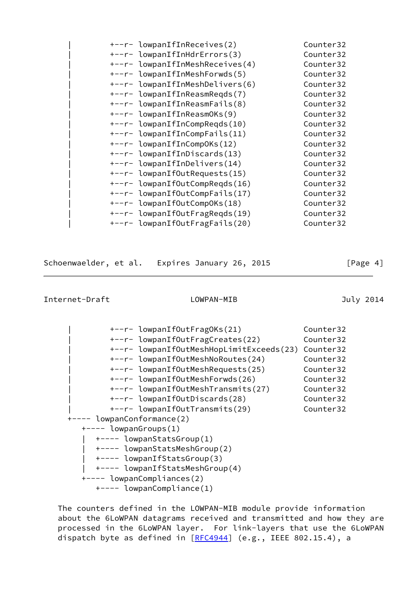| Counter32                                                                                                                                                                                                                                                                                                                                                                                                                                                                                                                                                                                                                                     |
|-----------------------------------------------------------------------------------------------------------------------------------------------------------------------------------------------------------------------------------------------------------------------------------------------------------------------------------------------------------------------------------------------------------------------------------------------------------------------------------------------------------------------------------------------------------------------------------------------------------------------------------------------|
| Counter32                                                                                                                                                                                                                                                                                                                                                                                                                                                                                                                                                                                                                                     |
| Counter32                                                                                                                                                                                                                                                                                                                                                                                                                                                                                                                                                                                                                                     |
| Counter32                                                                                                                                                                                                                                                                                                                                                                                                                                                                                                                                                                                                                                     |
| Counter32                                                                                                                                                                                                                                                                                                                                                                                                                                                                                                                                                                                                                                     |
| Counter32                                                                                                                                                                                                                                                                                                                                                                                                                                                                                                                                                                                                                                     |
| Counter32                                                                                                                                                                                                                                                                                                                                                                                                                                                                                                                                                                                                                                     |
| Counter32                                                                                                                                                                                                                                                                                                                                                                                                                                                                                                                                                                                                                                     |
| Counter32                                                                                                                                                                                                                                                                                                                                                                                                                                                                                                                                                                                                                                     |
| Counter32                                                                                                                                                                                                                                                                                                                                                                                                                                                                                                                                                                                                                                     |
| Counter32                                                                                                                                                                                                                                                                                                                                                                                                                                                                                                                                                                                                                                     |
| Counter32                                                                                                                                                                                                                                                                                                                                                                                                                                                                                                                                                                                                                                     |
| Counter32                                                                                                                                                                                                                                                                                                                                                                                                                                                                                                                                                                                                                                     |
| Counter32                                                                                                                                                                                                                                                                                                                                                                                                                                                                                                                                                                                                                                     |
| Counter32                                                                                                                                                                                                                                                                                                                                                                                                                                                                                                                                                                                                                                     |
| Counter32                                                                                                                                                                                                                                                                                                                                                                                                                                                                                                                                                                                                                                     |
| Counter32                                                                                                                                                                                                                                                                                                                                                                                                                                                                                                                                                                                                                                     |
| Counter32                                                                                                                                                                                                                                                                                                                                                                                                                                                                                                                                                                                                                                     |
| Counter32                                                                                                                                                                                                                                                                                                                                                                                                                                                                                                                                                                                                                                     |
| +--r- lowpanIfInReceives(2)<br>+--r- lowpanIfInHdrErrors(3)<br>+--r- lowpanIfInMeshReceives(4)<br>+--r- lowpanIfInMeshForwds(5)<br>+--r- lowpanIfInMeshDelivers(6)<br>+--r- lowpanIfInReasmRegds(7)<br>+--r- lowpanIfInReasmFails(8)<br>+--r- lowpanIfInReasmOKs(9)<br>+--r- lowpanIfInCompRegds(10)<br>+--r- lowpanIfInCompFails(11)<br>+--r- lowpanIfInCompOKs(12)<br>+--r- lowpanIfInDiscards(13)<br>+--r- lowpanIfInDelivers(14)<br>+--r- lowpanIfOutRequests(15)<br>+--r- lowpanIfOutCompRegds(16)<br>+--r- lowpanIfOutCompFails(17)<br>+--r- lowpanIfOutCompOKs(18)<br>+--r- lowpanIfOutFragReqds(19)<br>+--r- lowpanIfOutFragFails(20) |

Schoenwaelder, et al. Expires January 26, 2015 [Page 4]

# Internet-Draft LOWPAN-MIB July 2014

| +--r- lowpanIfOutFragOKs(21)             | Counter32 |
|------------------------------------------|-----------|
| +--r- lowpanIfOutFragCreates(22)         | Counter32 |
| +--r- lowpanIfOutMeshHopLimitExceeds(23) | Counter32 |
| +--r- lowpanIfOutMeshNoRoutes(24)        | Counter32 |
| +--r- lowpanIfOutMeshRequests(25)        | Counter32 |
| +--r- lowpanIfOutMeshForwds(26)          | Counter32 |
| +--r- lowpanIfOutMeshTransmits(27)       | Counter32 |
| +--r- lowpanIfOutDiscards(28)            | Counter32 |
| +--r- lowpanIfOutTransmits(29)           | Counter32 |
| +---- lowpanConformance(2)               |           |
| $+---$ lowpanGroups(1)                   |           |
| +---- lowpanStatsGroup(1)                |           |
| +---- lowpanStatsMeshGroup(2)            |           |
| +---- lowpanIfStatsGroup(3)              |           |
| +---- lowpanIfStatsMeshGroup(4)          |           |
| +---- lowpanCompliances(2)               |           |
| +---- lowpanCompliance(1)                |           |

 The counters defined in the LOWPAN-MIB module provide information about the 6LoWPAN datagrams received and transmitted and how they are processed in the 6LoWPAN layer. For link-layers that use the 6LoWPAN dispatch byte as defined in [\[RFC4944](https://datatracker.ietf.org/doc/pdf/rfc4944)] (e.g., IEEE 802.15.4), a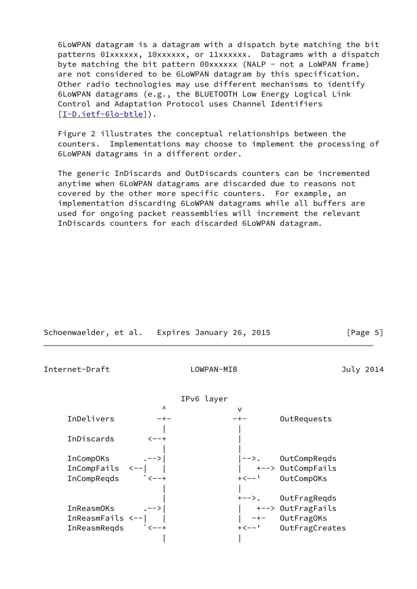6LoWPAN datagram is a datagram with a dispatch byte matching the bit patterns 01xxxxxx, 10xxxxxx, or 11xxxxxx. Datagrams with a dispatch byte matching the bit pattern 00xxxxxx (NALP - not a LoWPAN frame) are not considered to be 6LoWPAN datagram by this specification. Other radio technologies may use different mechanisms to identify 6LoWPAN datagrams (e.g., the BLUETOOTH Low Energy Logical Link Control and Adaptation Protocol uses Channel Identifiers [\[I-D.ietf-6lo-btle](#page-28-1)]).

 Figure 2 illustrates the conceptual relationships between the counters. Implementations may choose to implement the processing of 6LoWPAN datagrams in a different order.

 The generic InDiscards and OutDiscards counters can be incremented anytime when 6LoWPAN datagrams are discarded due to reasons not covered by the other more specific counters. For example, an implementation discarding 6LoWPAN datagrams while all buffers are used for ongoing packet reassemblies will increment the relevant InDiscards counters for each discarded 6LoWPAN datagram.

|                     |                            | Schoenwaelder, et al. Expires January 26, 2015 |                      | [Page 5]  |
|---------------------|----------------------------|------------------------------------------------|----------------------|-----------|
| Internet-Draft      |                            | LOWPAN-MIB                                     |                      | July 2014 |
|                     |                            | IPv6 layer                                     |                      |           |
|                     | $\Lambda$                  | $\vee$                                         |                      |           |
| InDelivers          | $- + -$                    | $- + -$                                        | OutRequests          |           |
|                     |                            |                                                |                      |           |
| InDiscards          | $<--+$                     |                                                |                      |           |
|                     |                            |                                                |                      |           |
| InCompOKs .-->      |                            |                                                | -->. OutCompReqds    |           |
|                     |                            |                                                | +--> OutCompFails    |           |
| InCompReqds         | $\sim$ $\sim$ $\sim$ $-$ + |                                                | +<--' OutCompOKs     |           |
|                     |                            |                                                |                      |           |
|                     |                            |                                                | +-->. OutFragReqds   |           |
| InReasmOKs          |                            |                                                |                      |           |
| In $ReasmFails$ <-- |                            |                                                |                      |           |
| InReasmReqds        |                            |                                                | +<--' OutFragCreates |           |
|                     |                            |                                                |                      |           |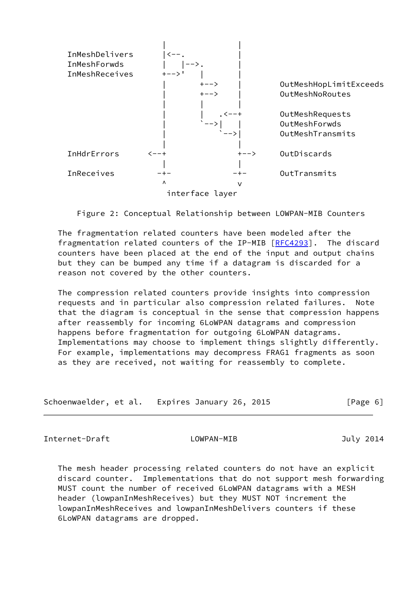

Figure 2: Conceptual Relationship between LOWPAN-MIB Counters

 The fragmentation related counters have been modeled after the fragmentation related counters of the IP-MIB [\[RFC4293](https://datatracker.ietf.org/doc/pdf/rfc4293)]. The discard counters have been placed at the end of the input and output chains but they can be bumped any time if a datagram is discarded for a reason not covered by the other counters.

 The compression related counters provide insights into compression requests and in particular also compression related failures. Note that the diagram is conceptual in the sense that compression happens after reassembly for incoming 6LoWPAN datagrams and compression happens before fragmentation for outgoing 6LoWPAN datagrams. Implementations may choose to implement things slightly differently. For example, implementations may decompress FRAG1 fragments as soon as they are received, not waiting for reassembly to complete.

| Schoenwaelder, et al. Expires January 26, 2015 |  |  |  | [Page 6] |  |
|------------------------------------------------|--|--|--|----------|--|
|------------------------------------------------|--|--|--|----------|--|

<span id="page-6-0"></span>Internet-Draft LOWPAN-MIB July 2014

 The mesh header processing related counters do not have an explicit discard counter. Implementations that do not support mesh forwarding MUST count the number of received 6LoWPAN datagrams with a MESH header (lowpanInMeshReceives) but they MUST NOT increment the lowpanInMeshReceives and lowpanInMeshDelivers counters if these 6LoWPAN datagrams are dropped.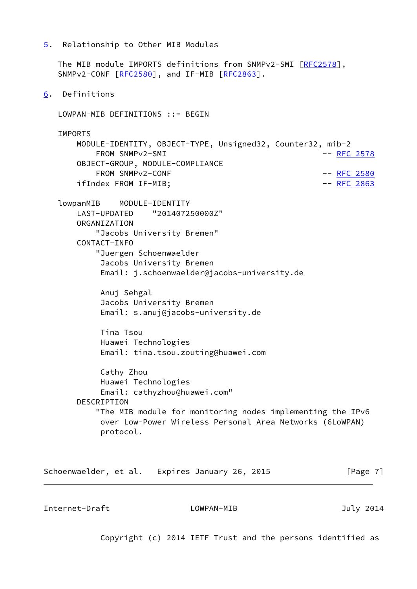<span id="page-7-0"></span>[5](#page-7-0). Relationship to Other MIB Modules

 The MIB module IMPORTS definitions from SNMPv2-SMI [[RFC2578\]](https://datatracker.ietf.org/doc/pdf/rfc2578), SNMPv2-CONF [\[RFC2580](https://datatracker.ietf.org/doc/pdf/rfc2580)], and IF-MIB [[RFC2863](https://datatracker.ietf.org/doc/pdf/rfc2863)].

<span id="page-7-1"></span>[6](#page-7-1). Definitions

LOWPAN-MIB DEFINITIONS ::= BEGIN

IMPORTS

 MODULE-IDENTITY, OBJECT-TYPE, Unsigned32, Counter32, mib-2 FROM SNMPv2-SMI  $-$  [RFC 2578](https://datatracker.ietf.org/doc/pdf/rfc2578) OBJECT-GROUP, MODULE-COMPLIANCE FROM SNMPv2-CONF  $-$  [RFC 2580](https://datatracker.ietf.org/doc/pdf/rfc2580) ifIndex FROM IF-MIB; example and the control of the control of the control of the control of the control of the control of the control of the control of the control of the control of the control of the control of the contr

 lowpanMIB MODULE-IDENTITY LAST-UPDATED "201407250000Z" ORGANIZATION "Jacobs University Bremen" CONTACT-INFO "Juergen Schoenwaelder Jacobs University Bremen Email: j.schoenwaelder@jacobs-university.de

> Anuj Sehgal Jacobs University Bremen Email: s.anuj@jacobs-university.de

 Tina Tsou Huawei Technologies Email: tina.tsou.zouting@huawei.com

 Cathy Zhou Huawei Technologies Email: cathyzhou@huawei.com" DESCRIPTION "The MIB module for monitoring nodes implementing the IPv6 over Low-Power Wireless Personal Area Networks (6LoWPAN) protocol.

Schoenwaelder, et al. Expires January 26, 2015 [Page 7]

Internet-Draft LOWPAN-MIB July 2014

Copyright (c) 2014 IETF Trust and the persons identified as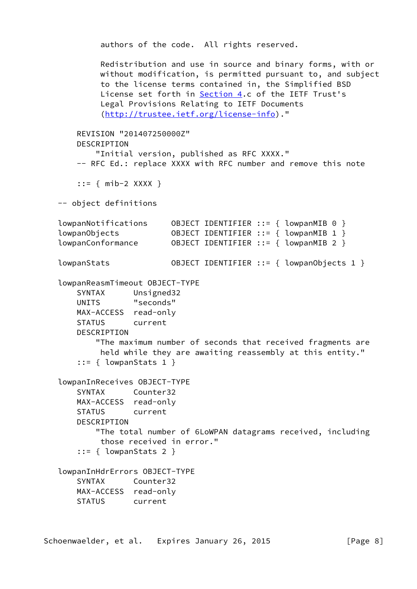```
 authors of the code. All rights reserved.
         Redistribution and use in source and binary forms, with or
         without modification, is permitted pursuant to, and subject
         to the license terms contained in, the Simplified BSD
        License set forth in Section 4.c of the IETF Trust's
         Legal Provisions Relating to IETF Documents
          (http://trustee.ietf.org/license-info)."
    REVISION "201407250000Z"
    DESCRIPTION
         "Initial version, published as RFC XXXX."
   -- RFC Ed.: replace XXXX with RFC number and remove this note
     ::= { mib-2 XXXX }
 -- object definitions
 lowpanNotifications OBJECT IDENTIFIER ::= { lowpanMIB 0 }
 lowpanObjects OBJECT IDENTIFIER ::= { lowpanMIB 1 }
 lowpanConformance OBJECT IDENTIFIER ::= { lowpanMIB 2 }
 lowpanStats OBJECT IDENTIFIER ::= { lowpanObjects 1 }
 lowpanReasmTimeout OBJECT-TYPE
    SYNTAX Unsigned32
    UNITS "seconds"
    MAX-ACCESS read-only
    STATUS current
   DESCRIPTION
         "The maximum number of seconds that received fragments are
         held while they are awaiting reassembly at this entity."
    ::= \{ lowpanStats 1 }
 lowpanInReceives OBJECT-TYPE
    SYNTAX Counter32
    MAX-ACCESS read-only
    STATUS current
    DESCRIPTION
         "The total number of 6LoWPAN datagrams received, including
         those received in error."
    ::= { lowpanStats 2 }
 lowpanInHdrErrors OBJECT-TYPE
    SYNTAX Counter32
    MAX-ACCESS read-only
    STATUS current
```
Schoenwaelder, et al. Expires January 26, 2015 [Page 8]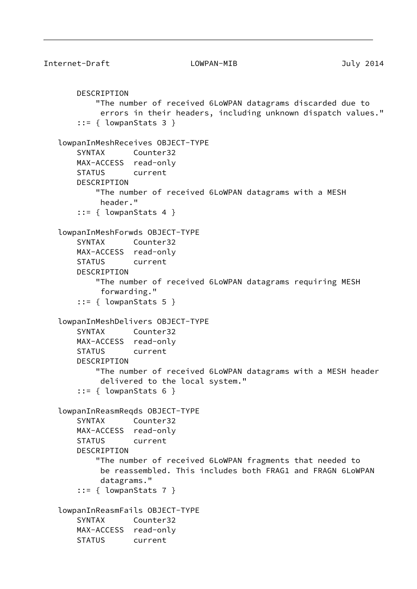```
 DESCRIPTION
         "The number of received 6LoWPAN datagrams discarded due to
         errors in their headers, including unknown dispatch values."
    ::= { lowpanStats 3 }
 lowpanInMeshReceives OBJECT-TYPE
    SYNTAX Counter32
    MAX-ACCESS read-only
    STATUS current
    DESCRIPTION
         "The number of received 6LoWPAN datagrams with a MESH
         header."
     ::= { lowpanStats 4 }
 lowpanInMeshForwds OBJECT-TYPE
    SYNTAX Counter32
    MAX-ACCESS read-only
    STATUS current
    DESCRIPTION
         "The number of received 6LoWPAN datagrams requiring MESH
          forwarding."
    ::= \{ lowpanStats 5 \} lowpanInMeshDelivers OBJECT-TYPE
    SYNTAX Counter32
    MAX-ACCESS read-only
    STATUS current
    DESCRIPTION
         "The number of received 6LoWPAN datagrams with a MESH header
         delivered to the local system."
     ::= { lowpanStats 6 }
 lowpanInReasmReqds OBJECT-TYPE
    SYNTAX Counter32
    MAX-ACCESS read-only
    STATUS current
    DESCRIPTION
         "The number of received 6LoWPAN fragments that needed to
         be reassembled. This includes both FRAG1 and FRAGN 6LoWPAN
         datagrams."
     ::= { lowpanStats 7 }
 lowpanInReasmFails OBJECT-TYPE
    SYNTAX Counter32
    MAX-ACCESS read-only
    STATUS current
```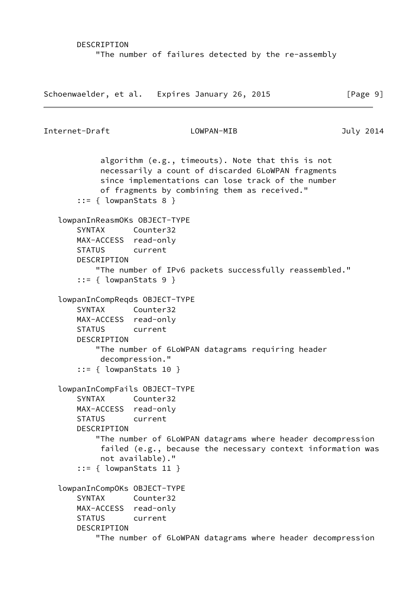```
 DESCRIPTION
     "The number of failures detected by the re-assembly
```
Schoenwaelder, et al. Expires January 26, 2015 [Page 9]

```
Internet-Draft LOWPAN-MIB July 2014
            algorithm (e.g., timeouts). Note that this is not
            necessarily a count of discarded 6LoWPAN fragments
            since implementations can lose track of the number
            of fragments by combining them as received."
       ::= { lowpanStats 8 }
    lowpanInReasmOKs OBJECT-TYPE
       SYNTAX Counter32
       MAX-ACCESS read-only
       STATUS current
       DESCRIPTION
           "The number of IPv6 packets successfully reassembled."
        ::= { lowpanStats 9 }
    lowpanInCompReqds OBJECT-TYPE
       SYNTAX Counter32
       MAX-ACCESS read-only
       STATUS current
       DESCRIPTION
           "The number of 6LoWPAN datagrams requiring header
            decompression."
        ::= { lowpanStats 10 }
    lowpanInCompFails OBJECT-TYPE
       SYNTAX Counter32
       MAX-ACCESS read-only
       STATUS current
       DESCRIPTION
           "The number of 6LoWPAN datagrams where header decompression
            failed (e.g., because the necessary context information was
            not available)."
        ::= { lowpanStats 11 }
    lowpanInCompOKs OBJECT-TYPE
       SYNTAX Counter32
       MAX-ACCESS read-only
       STATUS current
       DESCRIPTION
           "The number of 6LoWPAN datagrams where header decompression
```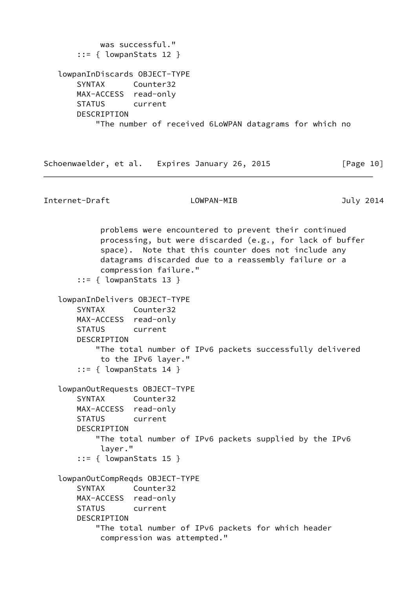```
 was successful."
     ::= { lowpanStats 12 }
 lowpanInDiscards OBJECT-TYPE
    SYNTAX Counter32
    MAX-ACCESS read-only
    STATUS current
    DESCRIPTION
         "The number of received 6LoWPAN datagrams for which no
```

```
Schoenwaelder, et al. Expires January 26, 2015 [Page 10]
```

```
 problems were encountered to prevent their continued
         processing, but were discarded (e.g., for lack of buffer
         space). Note that this counter does not include any
         datagrams discarded due to a reassembly failure or a
         compression failure."
     ::= { lowpanStats 13 }
 lowpanInDelivers OBJECT-TYPE
    SYNTAX Counter32
    MAX-ACCESS read-only
    STATUS current
    DESCRIPTION
         "The total number of IPv6 packets successfully delivered
         to the IPv6 layer."
    ::= { lowpanStats 14 }
 lowpanOutRequests OBJECT-TYPE
    SYNTAX Counter32
    MAX-ACCESS read-only
    STATUS current
    DESCRIPTION
         "The total number of IPv6 packets supplied by the IPv6
         layer."
     ::= { lowpanStats 15 }
 lowpanOutCompReqds OBJECT-TYPE
    SYNTAX Counter32
    MAX-ACCESS read-only
    STATUS current
    DESCRIPTION
         "The total number of IPv6 packets for which header
         compression was attempted."
```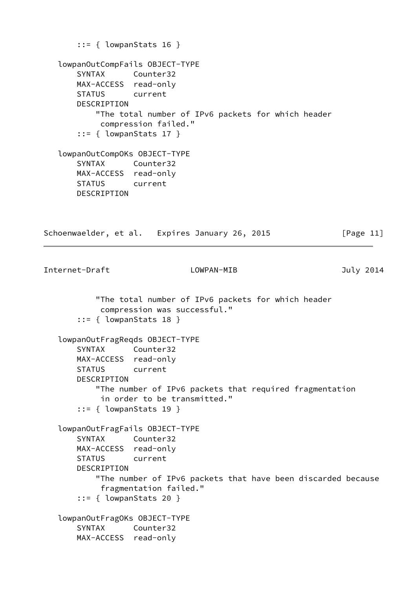```
::= { lowpanStats 16 }
   lowpanOutCompFails OBJECT-TYPE
       SYNTAX Counter32
       MAX-ACCESS read-only
       STATUS current
       DESCRIPTION
           "The total number of IPv6 packets for which header
            compression failed."
       ::= { lowpanStats 17 }
   lowpanOutCompOKs OBJECT-TYPE
       SYNTAX Counter32
       MAX-ACCESS read-only
       STATUS current
       DESCRIPTION
Schoenwaelder, et al. Expires January 26, 2015 [Page 11]
Internet-Draft LOWPAN-MIB July 2014
           "The total number of IPv6 packets for which header
            compression was successful."
       ::= { lowpanStats 18 }
   lowpanOutFragReqds OBJECT-TYPE
       SYNTAX Counter32
       MAX-ACCESS read-only
       STATUS current
       DESCRIPTION
           "The number of IPv6 packets that required fragmentation
            in order to be transmitted."
       ::= { lowpanStats 19 }
   lowpanOutFragFails OBJECT-TYPE
       SYNTAX Counter32
       MAX-ACCESS read-only
       STATUS current
       DESCRIPTION
           "The number of IPv6 packets that have been discarded because
            fragmentation failed."
       ::= { lowpanStats 20 }
   lowpanOutFragOKs OBJECT-TYPE
       SYNTAX Counter32
       MAX-ACCESS read-only
```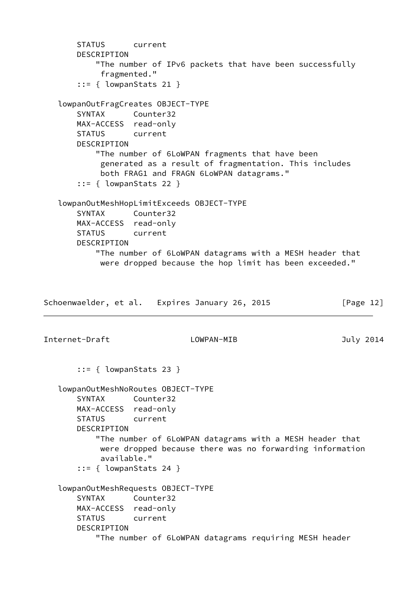```
 STATUS current
       DESCRIPTION
           "The number of IPv6 packets that have been successfully
            fragmented."
       ::= { lowpanStats 21 }
   lowpanOutFragCreates OBJECT-TYPE
       SYNTAX Counter32
       MAX-ACCESS read-only
       STATUS current
      DESCRIPTION
           "The number of 6LoWPAN fragments that have been
            generated as a result of fragmentation. This includes
            both FRAG1 and FRAGN 6LoWPAN datagrams."
       ::= { lowpanStats 22 }
   lowpanOutMeshHopLimitExceeds OBJECT-TYPE
       SYNTAX Counter32
       MAX-ACCESS read-only
       STATUS current
       DESCRIPTION
           "The number of 6LoWPAN datagrams with a MESH header that
            were dropped because the hop limit has been exceeded."
Schoenwaelder, et al. Expires January 26, 2015 [Page 12]
Internet-Draft LOWPAN-MIB July 2014
       ::= { lowpanStats 23 }
   lowpanOutMeshNoRoutes OBJECT-TYPE
       SYNTAX Counter32
       MAX-ACCESS read-only
       STATUS current
       DESCRIPTION
           "The number of 6LoWPAN datagrams with a MESH header that
            were dropped because there was no forwarding information
            available."
       ::= { lowpanStats 24 }
   lowpanOutMeshRequests OBJECT-TYPE
       SYNTAX Counter32
       MAX-ACCESS read-only
       STATUS current
       DESCRIPTION
           "The number of 6LoWPAN datagrams requiring MESH header
```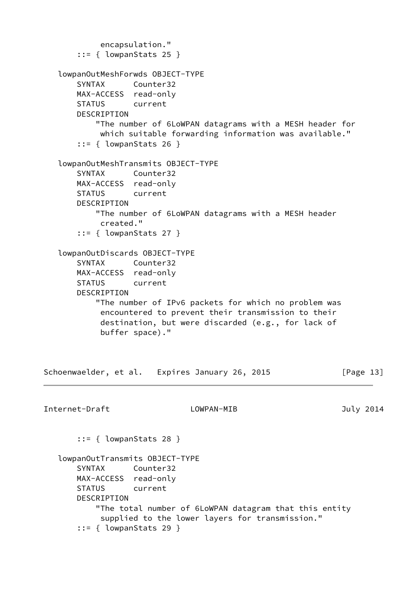```
 encapsulation."
       ::= { lowpanStats 25 }
   lowpanOutMeshForwds OBJECT-TYPE
       SYNTAX Counter32
       MAX-ACCESS read-only
       STATUS current
       DESCRIPTION
           "The number of 6LoWPAN datagrams with a MESH header for
            which suitable forwarding information was available."
       ::= { lowpanStats 26 }
   lowpanOutMeshTransmits OBJECT-TYPE
       SYNTAX Counter32
       MAX-ACCESS read-only
       STATUS current
       DESCRIPTION
           "The number of 6LoWPAN datagrams with a MESH header
            created."
       ::= { lowpanStats 27 }
   lowpanOutDiscards OBJECT-TYPE
       SYNTAX Counter32
       MAX-ACCESS read-only
       STATUS current
       DESCRIPTION
           "The number of IPv6 packets for which no problem was
            encountered to prevent their transmission to their
            destination, but were discarded (e.g., for lack of
            buffer space)."
Schoenwaelder, et al. Expires January 26, 2015 [Page 13]
Internet-Draft LOWPAN-MIB July 2014
       ::= { lowpanStats 28 }
   lowpanOutTransmits OBJECT-TYPE
       SYNTAX Counter32
       MAX-ACCESS read-only
       STATUS current
       DESCRIPTION
           "The total number of 6LoWPAN datagram that this entity
            supplied to the lower layers for transmission."
       ::= { lowpanStats 29 }
```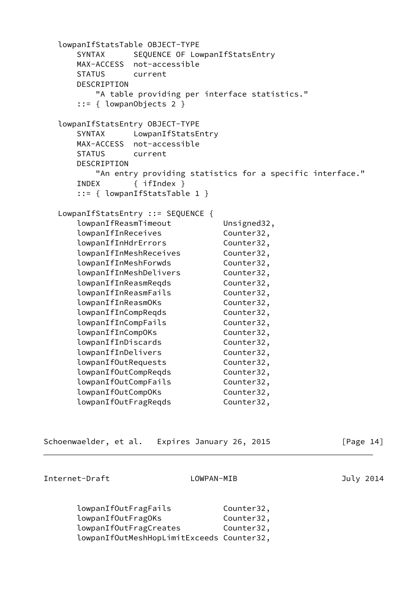```
 lowpanIfStatsTable OBJECT-TYPE
   SYNTAX SEQUENCE OF LowpanIfStatsEntry
    MAX-ACCESS not-accessible
    STATUS current
    DESCRIPTION
       "A table providing per interface statistics."
    ::= { lowpanObjects 2 }
 lowpanIfStatsEntry OBJECT-TYPE
   SYNTAX LowpanIfStatsEntry
    MAX-ACCESS not-accessible
    STATUS current
    DESCRIPTION
       "An entry providing statistics for a specific interface."
    INDEX { ifIndex }
    ::= { lowpanIfStatsTable 1 }
 LowpanIfStatsEntry ::= SEQUENCE {
   lowpanIfReasmTimeout Unsigned32,
    lowpanIfInReceives Counter32,
    lowpanIfInHdrErrors Counter32,
   lowpanIfInMeshReceives Counter32,
   lowpanIfInMeshForwds Counter32,
    lowpanIfInMeshDelivers Counter32,
   lowpanIfInReasmReqds Counter32,
    lowpanIfInReasmFails Counter32,
   lowpanIfInReasmOKs Counter32,
   lowpanIfInCompReqds Counter32,
    lowpanIfInCompFails Counter32,
   lowpanIfInCompOKs Counter32,
   lowpanIfInDiscards Counter32,
    lowpanIfInDelivers Counter32,
   lowpanIfOutRequests Counter32,
   lowpanIfOutCompReqds Counter32,
    lowpanIfOutCompFails Counter32,
    lowpanIfOutCompOKs Counter32,
   lowpanIfOutFragReqds Counter32,
```

| Schoenwaelder, et al. |  |  |  | Expires January 26, 2015 |  |  |
|-----------------------|--|--|--|--------------------------|--|--|
|-----------------------|--|--|--|--------------------------|--|--|

 $\lceil \text{Page 14} \rceil$ 

| lowpanIfOutFragFails                      | Counter32, |
|-------------------------------------------|------------|
| lowpanIfOutFragOKs                        | Counter32, |
| lowpanIfOutFragCreates                    | Counter32, |
| lowpanIfOutMeshHopLimitExceeds Counter32, |            |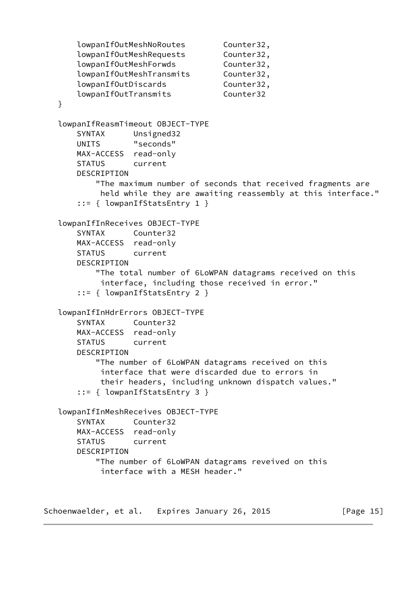```
 lowpanIfOutMeshNoRoutes Counter32,
   lowpanIfOutMeshRequests Counter32,
   lowpanIfOutMeshForwds Counter32,
    lowpanIfOutMeshTransmits Counter32,
   lowpanIfOutDiscards Counter32,
    lowpanIfOutTransmits Counter32
 }
 lowpanIfReasmTimeout OBJECT-TYPE
    SYNTAX Unsigned32
    UNITS "seconds"
    MAX-ACCESS read-only
    STATUS current
    DESCRIPTION
        "The maximum number of seconds that received fragments are
         held while they are awaiting reassembly at this interface."
    ::= { lowpanIfStatsEntry 1 }
 lowpanIfInReceives OBJECT-TYPE
    SYNTAX Counter32
    MAX-ACCESS read-only
    STATUS current
    DESCRIPTION
        "The total number of 6LoWPAN datagrams received on this
         interface, including those received in error."
    ::= { lowpanIfStatsEntry 2 }
 lowpanIfInHdrErrors OBJECT-TYPE
    SYNTAX Counter32
    MAX-ACCESS read-only
    STATUS current
    DESCRIPTION
        "The number of 6LoWPAN datagrams received on this
         interface that were discarded due to errors in
         their headers, including unknown dispatch values."
    ::= { lowpanIfStatsEntry 3 }
 lowpanIfInMeshReceives OBJECT-TYPE
    SYNTAX Counter32
    MAX-ACCESS read-only
    STATUS current
    DESCRIPTION
        "The number of 6LoWPAN datagrams reveived on this
         interface with a MESH header."
```
Schoenwaelder, et al. Expires January 26, 2015 [Page 15]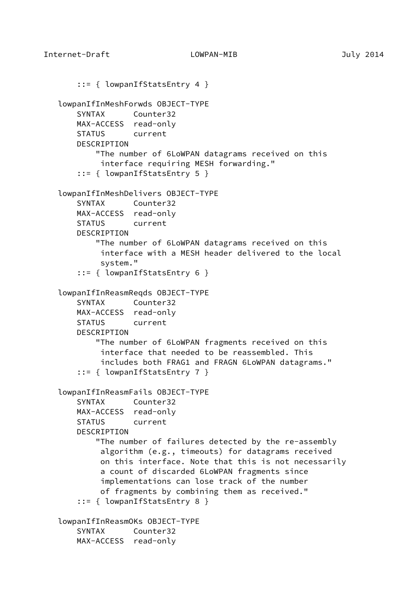```
Internet-Draft LOWPAN-MIB July 2014
        ::= { lowpanIfStatsEntry 4 }
    lowpanIfInMeshForwds OBJECT-TYPE
       SYNTAX Counter32
       MAX-ACCESS read-only
       STATUS current
      DESCRIPTION
           "The number of 6LoWPAN datagrams received on this
            interface requiring MESH forwarding."
        ::= { lowpanIfStatsEntry 5 }
    lowpanIfInMeshDelivers OBJECT-TYPE
       SYNTAX Counter32
       MAX-ACCESS read-only
       STATUS current
       DESCRIPTION
           "The number of 6LoWPAN datagrams received on this
            interface with a MESH header delivered to the local
            system."
        ::= { lowpanIfStatsEntry 6 }
    lowpanIfInReasmReqds OBJECT-TYPE
       SYNTAX Counter32
       MAX-ACCESS read-only
       STATUS current
      DESCRIPTION
           "The number of 6LoWPAN fragments received on this
            interface that needed to be reassembled. This
            includes both FRAG1 and FRAGN 6LoWPAN datagrams."
        ::= { lowpanIfStatsEntry 7 }
    lowpanIfInReasmFails OBJECT-TYPE
       SYNTAX Counter32
       MAX-ACCESS read-only
       STATUS current
       DESCRIPTION
           "The number of failures detected by the re-assembly
            algorithm (e.g., timeouts) for datagrams received
```
on this interface. Note that this is not necessarily

 a count of discarded 6LoWPAN fragments since implementations can lose track of the number of fragments by combining them as received."

::= { lowpanIfStatsEntry 8 }

 lowpanIfInReasmOKs OBJECT-TYPE SYNTAX Counter32 MAX-ACCESS read-only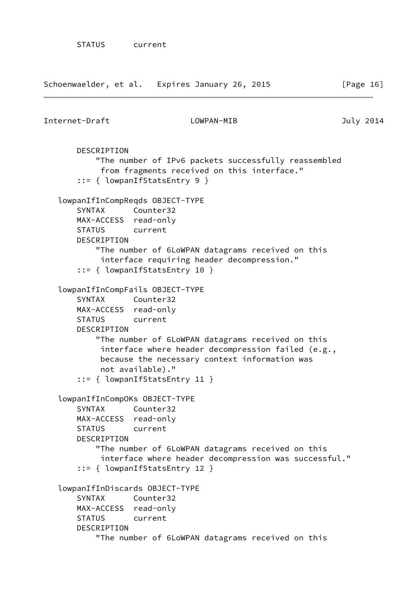| Internet-Draft                                                                                           | LOWPAN-MIB                                                                                                                                                                                                                               | July 2014 |
|----------------------------------------------------------------------------------------------------------|------------------------------------------------------------------------------------------------------------------------------------------------------------------------------------------------------------------------------------------|-----------|
| DESCRIPTION                                                                                              | "The number of IPv6 packets successfully reassembled<br>from fragments received on this interface."<br>$::= \{$ lowpanIfStatsEntry 9 }                                                                                                   |           |
| lowpanIfInCompReqds OBJECT-TYPE<br>SYNTAX<br>MAX-ACCESS read-only<br>STATUS current<br>DESCRIPTION       | Counter32<br>"The number of 6LoWPAN datagrams received on this<br>interface requiring header decompression."<br>$::=$ { lowpanIfStatsEntry 10 }                                                                                          |           |
| lowpanIfInCompFails OBJECT-TYPE<br><b>SYNTAX</b><br>MAX-ACCESS read-only<br><b>STATUS</b><br>DESCRIPTION | Counter32<br>current<br>"The number of 6LoWPAN datagrams received on this<br>interface where header decompression failed (e.g.,<br>because the necessary context information was<br>not available)."<br>$::= \{$ lowpanIfStatsEntry 11 } |           |
| lowpanIfInCompOKs OBJECT-TYPE<br>SYNTAX<br>MAX-ACCESS<br>STATUS<br>DESCRIPTION                           | Counter32<br>read-only<br>current<br>"The number of 6LoWPAN datagrams received on this<br>interface where header decompression was successful."<br>$::= \{$ lowpanIfStatsEntry 12 }                                                      |           |
| lowpanIfInDiscards OBJECT-TYPE<br><b>SYNTAX</b><br>MAX-ACCESS<br><b>STATUS</b><br>DESCRIPTION            | Counter32<br>read-only<br>current<br>"The number of 6LoWPAN datagrams received on this                                                                                                                                                   |           |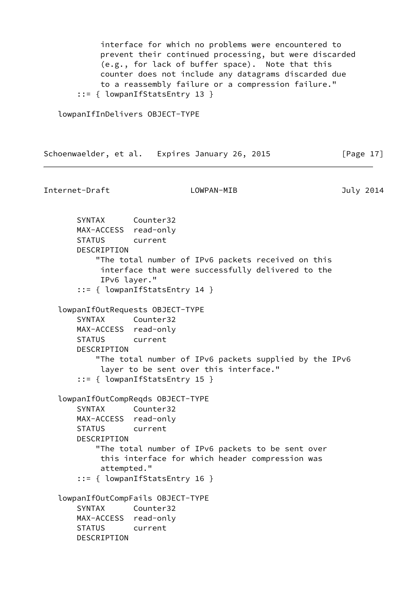interface for which no problems were encountered to prevent their continued processing, but were discarded (e.g., for lack of buffer space). Note that this counter does not include any datagrams discarded due to a reassembly failure or a compression failure." ::= { lowpanIfStatsEntry 13 }

lowpanIfInDelivers OBJECT-TYPE

Schoenwaelder, et al. Expires January 26, 2015 [Page 17]

Internet-Draft LOWPAN-MIB July 2014

 SYNTAX Counter32 MAX-ACCESS read-only STATUS current DESCRIPTION "The total number of IPv6 packets received on this interface that were successfully delivered to the IPv6 layer." ::= { lowpanIfStatsEntry 14 } lowpanIfOutRequests OBJECT-TYPE SYNTAX Counter32 MAX-ACCESS read-only STATUS current DESCRIPTION "The total number of IPv6 packets supplied by the IPv6 layer to be sent over this interface." ::= { lowpanIfStatsEntry 15 } lowpanIfOutCompReqds OBJECT-TYPE SYNTAX Counter32 MAX-ACCESS read-only STATUS current DESCRIPTION "The total number of IPv6 packets to be sent over this interface for which header compression was attempted." ::= { lowpanIfStatsEntry 16 } lowpanIfOutCompFails OBJECT-TYPE SYNTAX Counter32 MAX-ACCESS read-only STATUS current DESCRIPTION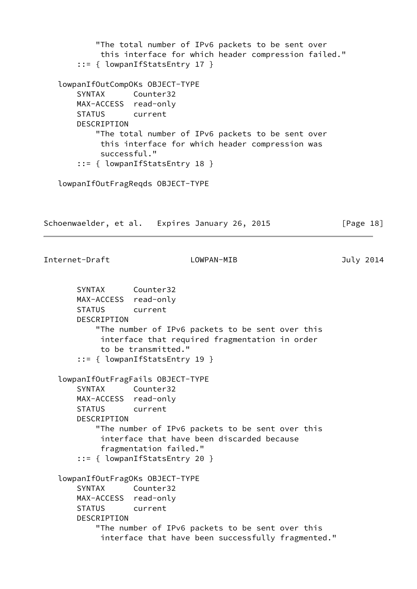```
 "The total number of IPv6 packets to be sent over
            this interface for which header compression failed."
       ::= { lowpanIfStatsEntry 17 }
   lowpanIfOutCompOKs OBJECT-TYPE
       SYNTAX Counter32
       MAX-ACCESS read-only
       STATUS current
       DESCRIPTION
           "The total number of IPv6 packets to be sent over
            this interface for which header compression was
            successful."
       ::= { lowpanIfStatsEntry 18 }
   lowpanIfOutFragReqds OBJECT-TYPE
Schoenwaelder, et al. Expires January 26, 2015 [Page 18]
Internet-Draft LOWPAN-MIB July 2014
       SYNTAX Counter32
       MAX-ACCESS read-only
       STATUS current
       DESCRIPTION
           "The number of IPv6 packets to be sent over this
            interface that required fragmentation in order
            to be transmitted."
       ::= { lowpanIfStatsEntry 19 }
   lowpanIfOutFragFails OBJECT-TYPE
       SYNTAX Counter32
       MAX-ACCESS read-only
       STATUS current
       DESCRIPTION
           "The number of IPv6 packets to be sent over this
            interface that have been discarded because
            fragmentation failed."
       ::= { lowpanIfStatsEntry 20 }
   lowpanIfOutFragOKs OBJECT-TYPE
       SYNTAX Counter32
       MAX-ACCESS read-only
       STATUS current
       DESCRIPTION
           "The number of IPv6 packets to be sent over this
            interface that have been successfully fragmented."
```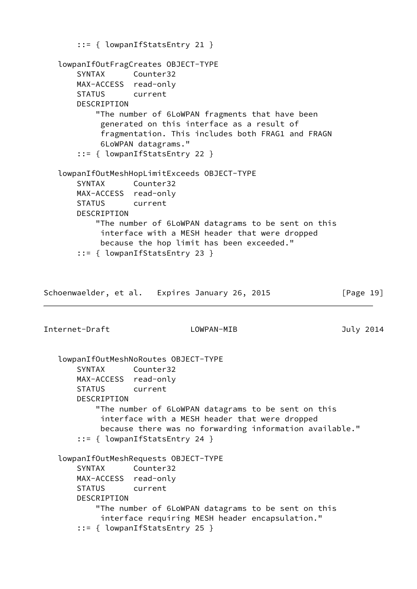```
 ::= { lowpanIfStatsEntry 21 }
    lowpanIfOutFragCreates OBJECT-TYPE
       SYNTAX Counter32
       MAX-ACCESS read-only
       STATUS current
       DESCRIPTION
           "The number of 6LoWPAN fragments that have been
            generated on this interface as a result of
            fragmentation. This includes both FRAG1 and FRAGN
            6LoWPAN datagrams."
        ::= { lowpanIfStatsEntry 22 }
    lowpanIfOutMeshHopLimitExceeds OBJECT-TYPE
       SYNTAX Counter32
       MAX-ACCESS read-only
       STATUS current
       DESCRIPTION
           "The number of 6LoWPAN datagrams to be sent on this
            interface with a MESH header that were dropped
            because the hop limit has been exceeded."
        ::= { lowpanIfStatsEntry 23 }
Schoenwaelder, et al. Expires January 26, 2015 [Page 19]
Internet-Draft LOWPAN-MIB July 2014
    lowpanIfOutMeshNoRoutes OBJECT-TYPE
       SYNTAX Counter32
       MAX-ACCESS read-only
       STATUS current
       DESCRIPTION
           "The number of 6LoWPAN datagrams to be sent on this
            interface with a MESH header that were dropped
            because there was no forwarding information available."
        ::= { lowpanIfStatsEntry 24 }
    lowpanIfOutMeshRequests OBJECT-TYPE
       SYNTAX Counter32
       MAX-ACCESS read-only
       STATUS current
       DESCRIPTION
           "The number of 6LoWPAN datagrams to be sent on this
            interface requiring MESH header encapsulation."
        ::= { lowpanIfStatsEntry 25 }
```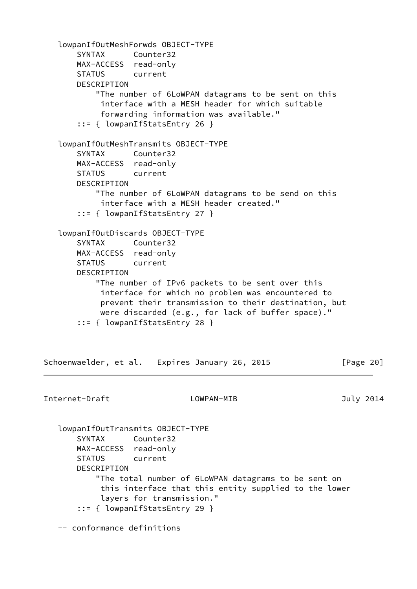```
 lowpanIfOutMeshForwds OBJECT-TYPE
       SYNTAX Counter32
       MAX-ACCESS read-only
       STATUS current
       DESCRIPTION
           "The number of 6LoWPAN datagrams to be sent on this
            interface with a MESH header for which suitable
            forwarding information was available."
       ::= { lowpanIfStatsEntry 26 }
   lowpanIfOutMeshTransmits OBJECT-TYPE
       SYNTAX Counter32
       MAX-ACCESS read-only
       STATUS current
       DESCRIPTION
           "The number of 6LoWPAN datagrams to be send on this
            interface with a MESH header created."
       ::= { lowpanIfStatsEntry 27 }
   lowpanIfOutDiscards OBJECT-TYPE
       SYNTAX Counter32
       MAX-ACCESS read-only
       STATUS current
       DESCRIPTION
           "The number of IPv6 packets to be sent over this
            interface for which no problem was encountered to
            prevent their transmission to their destination, but
            were discarded (e.g., for lack of buffer space)."
       ::= { lowpanIfStatsEntry 28 }
Schoenwaelder, et al. Expires January 26, 2015 [Page 20]
Internet-Draft LOWPAN-MIB July 2014
   lowpanIfOutTransmits OBJECT-TYPE
       SYNTAX Counter32
       MAX-ACCESS read-only
       STATUS current
       DESCRIPTION
           "The total number of 6LoWPAN datagrams to be sent on
            this interface that this entity supplied to the lower
            layers for transmission."
       ::= { lowpanIfStatsEntry 29 }
   -- conformance definitions
```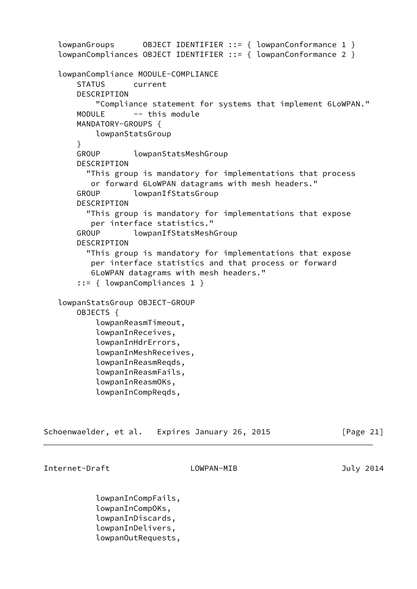```
lowpanGroups OBIECT IDENTIFIER :: = \{ lowpanConformance 1 \} lowpanCompliances OBJECT IDENTIFIER ::= { lowpanConformance 2 }
 lowpanCompliance MODULE-COMPLIANCE
    STATUS current
    DESCRIPTION
         "Compliance statement for systems that implement 6LoWPAN."
    MODULE -- this module
    MANDATORY-GROUPS {
        lowpanStatsGroup
    }
    GROUP lowpanStatsMeshGroup
    DESCRIPTION
       "This group is mandatory for implementations that process
        or forward 6LoWPAN datagrams with mesh headers."
    GROUP lowpanIfStatsGroup
    DESCRIPTION
       "This group is mandatory for implementations that expose
        per interface statistics."
    GROUP lowpanIfStatsMeshGroup
    DESCRIPTION
       "This group is mandatory for implementations that expose
        per interface statistics and that process or forward
        6LoWPAN datagrams with mesh headers."
     ::= { lowpanCompliances 1 }
 lowpanStatsGroup OBJECT-GROUP
    OBJECTS {
         lowpanReasmTimeout,
         lowpanInReceives,
         lowpanInHdrErrors,
         lowpanInMeshReceives,
         lowpanInReasmReqds,
         lowpanInReasmFails,
         lowpanInReasmOKs,
         lowpanInCompReqds,
```

|  | Schoenwaelder, et al. Expires January 26, 2015 | [Page 21] |
|--|------------------------------------------------|-----------|
|--|------------------------------------------------|-----------|

 lowpanInCompFails, lowpanInCompOKs, lowpanInDiscards, lowpanInDelivers, lowpanOutRequests,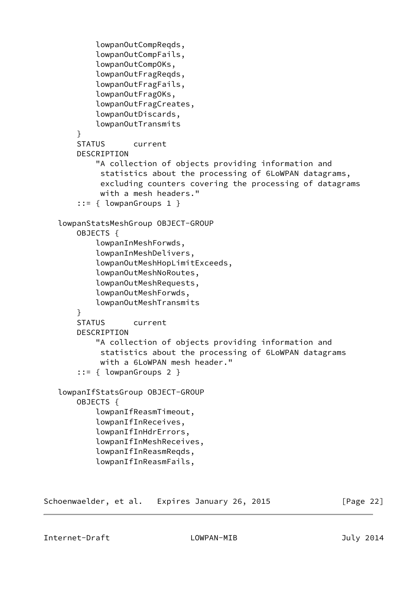```
 lowpanOutCompReqds,
         lowpanOutCompFails,
         lowpanOutCompOKs,
         lowpanOutFragReqds,
         lowpanOutFragFails,
         lowpanOutFragOKs,
         lowpanOutFragCreates,
         lowpanOutDiscards,
         lowpanOutTransmits
     }
     STATUS current
     DESCRIPTION
         "A collection of objects providing information and
          statistics about the processing of 6LoWPAN datagrams,
          excluding counters covering the processing of datagrams
          with a mesh headers."
     ::= { lowpanGroups 1 }
 lowpanStatsMeshGroup OBJECT-GROUP
     OBJECTS {
         lowpanInMeshForwds,
         lowpanInMeshDelivers,
         lowpanOutMeshHopLimitExceeds,
         lowpanOutMeshNoRoutes,
         lowpanOutMeshRequests,
         lowpanOutMeshForwds,
         lowpanOutMeshTransmits
     }
     STATUS current
     DESCRIPTION
         "A collection of objects providing information and
          statistics about the processing of 6LoWPAN datagrams
          with a 6LoWPAN mesh header."
     ::= { lowpanGroups 2 }
 lowpanIfStatsGroup OBJECT-GROUP
     OBJECTS {
         lowpanIfReasmTimeout,
         lowpanIfInReceives,
         lowpanIfInHdrErrors,
         lowpanIfInMeshReceives,
         lowpanIfInReasmReqds,
         lowpanIfInReasmFails,
```
Schoenwaelder, et al. Expires January 26, 2015 [Page 22]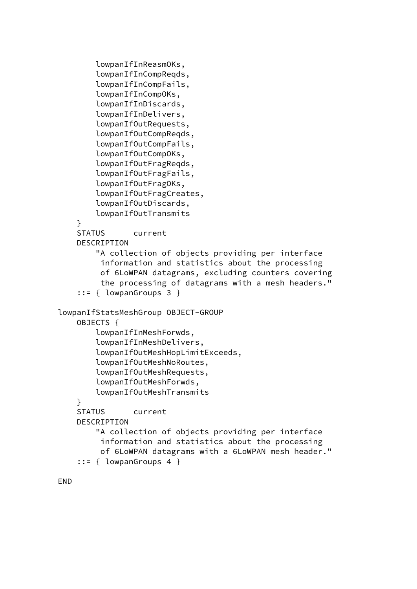```
 lowpanIfInReasmOKs,
         lowpanIfInCompReqds,
         lowpanIfInCompFails,
         lowpanIfInCompOKs,
         lowpanIfInDiscards,
         lowpanIfInDelivers,
         lowpanIfOutRequests,
         lowpanIfOutCompReqds,
         lowpanIfOutCompFails,
         lowpanIfOutCompOKs,
         lowpanIfOutFragReqds,
         lowpanIfOutFragFails,
         lowpanIfOutFragOKs,
         lowpanIfOutFragCreates,
         lowpanIfOutDiscards,
         lowpanIfOutTransmits
     }
     STATUS current
     DESCRIPTION
         "A collection of objects providing per interface
          information and statistics about the processing
          of 6LoWPAN datagrams, excluding counters covering
          the processing of datagrams with a mesh headers."
     ::= { lowpanGroups 3 }
 lowpanIfStatsMeshGroup OBJECT-GROUP
     OBJECTS {
         lowpanIfInMeshForwds,
         lowpanIfInMeshDelivers,
         lowpanIfOutMeshHopLimitExceeds,
         lowpanIfOutMeshNoRoutes,
         lowpanIfOutMeshRequests,
         lowpanIfOutMeshForwds,
         lowpanIfOutMeshTransmits
     }
     STATUS current
     DESCRIPTION
         "A collection of objects providing per interface
          information and statistics about the processing
          of 6LoWPAN datagrams with a 6LoWPAN mesh header."
     ::= { lowpanGroups 4 }
```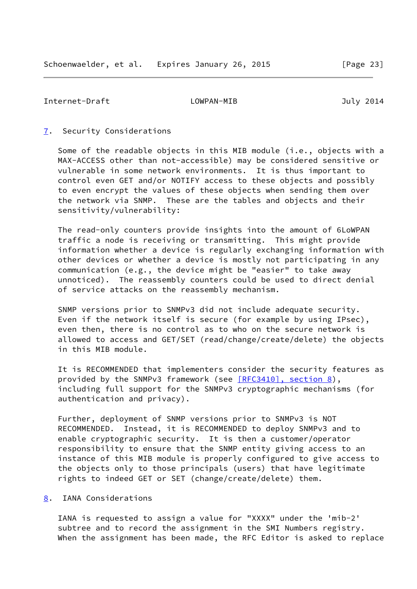### <span id="page-26-1"></span><span id="page-26-0"></span>[7](#page-26-0). Security Considerations

 Some of the readable objects in this MIB module (i.e., objects with a MAX-ACCESS other than not-accessible) may be considered sensitive or vulnerable in some network environments. It is thus important to control even GET and/or NOTIFY access to these objects and possibly to even encrypt the values of these objects when sending them over the network via SNMP. These are the tables and objects and their sensitivity/vulnerability:

 The read-only counters provide insights into the amount of 6LoWPAN traffic a node is receiving or transmitting. This might provide information whether a device is regularly exchanging information with other devices or whether a device is mostly not participating in any communication (e.g., the device might be "easier" to take away unnoticed). The reassembly counters could be used to direct denial of service attacks on the reassembly mechanism.

 SNMP versions prior to SNMPv3 did not include adequate security. Even if the network itself is secure (for example by using IPsec), even then, there is no control as to who on the secure network is allowed to access and GET/SET (read/change/create/delete) the objects in this MIB module.

 It is RECOMMENDED that implementers consider the security features as provided by the SNMPv3 framework (see  $[REC3410]$ , section 8), including full support for the SNMPv3 cryptographic mechanisms (for authentication and privacy).

 Further, deployment of SNMP versions prior to SNMPv3 is NOT RECOMMENDED. Instead, it is RECOMMENDED to deploy SNMPv3 and to enable cryptographic security. It is then a customer/operator responsibility to ensure that the SNMP entity giving access to an instance of this MIB module is properly configured to give access to the objects only to those principals (users) that have legitimate rights to indeed GET or SET (change/create/delete) them.

### <span id="page-26-2"></span>[8](#page-26-2). IANA Considerations

 IANA is requested to assign a value for "XXXX" under the 'mib-2' subtree and to record the assignment in the SMI Numbers registry. When the assignment has been made, the RFC Editor is asked to replace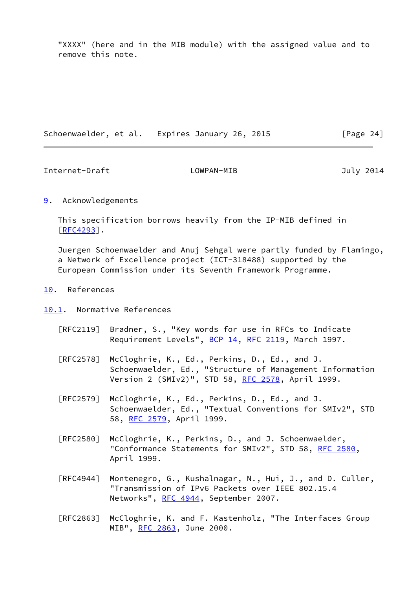"XXXX" (here and in the MIB module) with the assigned value and to remove this note.

| Schoenwaelder, et al. | Expires January 26, 2015 | [Page 24] |
|-----------------------|--------------------------|-----------|
|-----------------------|--------------------------|-----------|

<span id="page-27-1"></span>Internet-Draft LOWPAN-MIB July 2014

## <span id="page-27-0"></span>[9](#page-27-0). Acknowledgements

 This specification borrows heavily from the IP-MIB defined in [\[RFC4293](https://datatracker.ietf.org/doc/pdf/rfc4293)].

 Juergen Schoenwaelder and Anuj Sehgal were partly funded by Flamingo, a Network of Excellence project (ICT-318488) supported by the European Commission under its Seventh Framework Programme.

### <span id="page-27-2"></span>[10.](#page-27-2) References

- <span id="page-27-3"></span>[10.1](#page-27-3). Normative References
	- [RFC2119] Bradner, S., "Key words for use in RFCs to Indicate Requirement Levels", [BCP 14](https://datatracker.ietf.org/doc/pdf/bcp14), [RFC 2119](https://datatracker.ietf.org/doc/pdf/rfc2119), March 1997.
	- [RFC2578] McCloghrie, K., Ed., Perkins, D., Ed., and J. Schoenwaelder, Ed., "Structure of Management Information Version 2 (SMIv2)", STD 58, [RFC 2578,](https://datatracker.ietf.org/doc/pdf/rfc2578) April 1999.
	- [RFC2579] McCloghrie, K., Ed., Perkins, D., Ed., and J. Schoenwaelder, Ed., "Textual Conventions for SMIv2", STD 58, [RFC 2579,](https://datatracker.ietf.org/doc/pdf/rfc2579) April 1999.
	- [RFC2580] McCloghrie, K., Perkins, D., and J. Schoenwaelder, "Conformance Statements for SMIv2", STD 58, [RFC 2580,](https://datatracker.ietf.org/doc/pdf/rfc2580) April 1999.
	- [RFC4944] Montenegro, G., Kushalnagar, N., Hui, J., and D. Culler, "Transmission of IPv6 Packets over IEEE 802.15.4 Networks", [RFC 4944](https://datatracker.ietf.org/doc/pdf/rfc4944), September 2007.
	- [RFC2863] McCloghrie, K. and F. Kastenholz, "The Interfaces Group MIB", [RFC 2863](https://datatracker.ietf.org/doc/pdf/rfc2863), June 2000.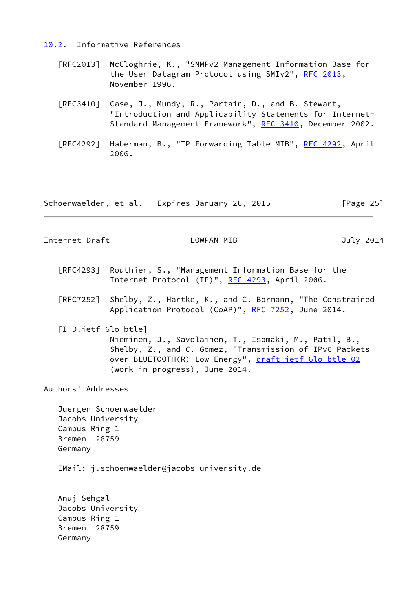<span id="page-28-0"></span>[10.2](#page-28-0). Informative References

- [RFC2013] McCloghrie, K., "SNMPv2 Management Information Base for the User Datagram Protocol using SMIv2", [RFC 2013,](https://datatracker.ietf.org/doc/pdf/rfc2013) November 1996.
- [RFC3410] Case, J., Mundy, R., Partain, D., and B. Stewart, "Introduction and Applicability Statements for Internet- Standard Management Framework", [RFC 3410,](https://datatracker.ietf.org/doc/pdf/rfc3410) December 2002.
- [RFC4292] Haberman, B., "IP Forwarding Table MIB", [RFC 4292,](https://datatracker.ietf.org/doc/pdf/rfc4292) April 2006.

Schoenwaelder, et al. Expires January 26, 2015 [Page 25]

Internet-Draft LOWPAN-MIB July 2014

- [RFC4293] Routhier, S., "Management Information Base for the Internet Protocol (IP)", [RFC 4293,](https://datatracker.ietf.org/doc/pdf/rfc4293) April 2006.
- [RFC7252] Shelby, Z., Hartke, K., and C. Bormann, "The Constrained Application Protocol (CoAP)", [RFC 7252](https://datatracker.ietf.org/doc/pdf/rfc7252), June 2014.
- <span id="page-28-1"></span> [I-D.ietf-6lo-btle] Nieminen, J., Savolainen, T., Isomaki, M., Patil, B., Shelby, Z., and C. Gomez, "Transmission of IPv6 Packets over BLUETOOTH(R) Low Energy", [draft-ietf-6lo-btle-02](https://datatracker.ietf.org/doc/pdf/draft-ietf-6lo-btle-02) (work in progress), June 2014.

Authors' Addresses

 Juergen Schoenwaelder Jacobs University Campus Ring 1 Bremen 28759 Germany

EMail: j.schoenwaelder@jacobs-university.de

 Anuj Sehgal Jacobs University Campus Ring 1 Bremen 28759 Germany